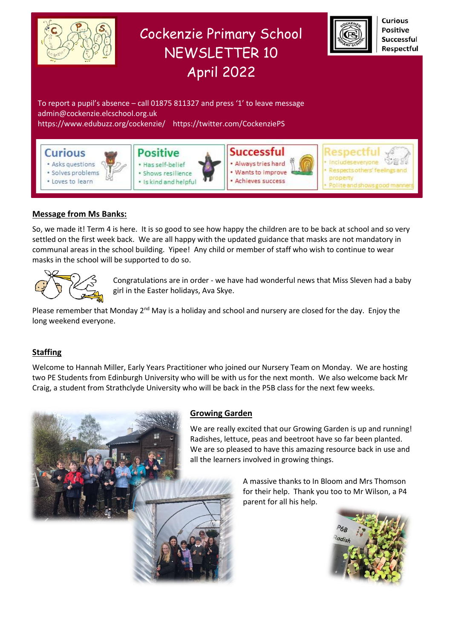

# **Message from Ms Banks:**

So, we made it! Term 4 is here. It is so good to see how happy the children are to be back at school and so very settled on the first week back. We are all happy with the updated guidance that masks are not mandatory in communal areas in the school building. Yipee! Any child or member of staff who wish to continue to wear masks in the school will be supported to do so.



Congratulations are in order - we have had wonderful news that Miss Sleven had a baby girl in the Easter holidays, Ava Skye.

Please remember that Monday  $2^{nd}$  May is a holiday and school and nursery are closed for the day. Enjoy the long weekend everyone.

# **Staffing**

Welcome to Hannah Miller, Early Years Practitioner who joined our Nursery Team on Monday. We are hosting two PE Students from Edinburgh University who will be with us for the next month. We also welcome back Mr Craig, a student from Strathclyde University who will be back in the P5B class for the next few weeks.



# **Growing Garden**

We are really excited that our Growing Garden is up and running! Radishes, lettuce, peas and beetroot have so far been planted. We are so pleased to have this amazing resource back in use and all the learners involved in growing things.

> A massive thanks to In Bloom and Mrs Thomson for their help. Thank you too to Mr Wilson, a P4 parent for all his help.

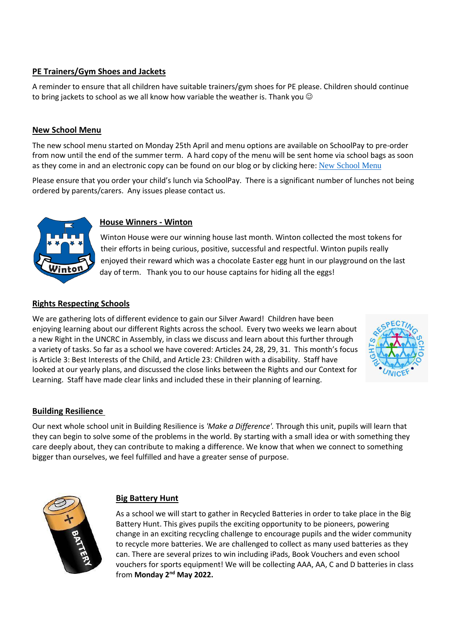# **PE Trainers/Gym Shoes and Jackets**

A reminder to ensure that all children have suitable trainers/gym shoes for PE please. Children should continue to bring jackets to school as we all know how variable the weather is. Thank you  $\odot$ 

### **New School Menu**

The new school menu started on Monday 25th April and menu options are available on SchoolPay to pre-order from now until the end of the summer term. A hard copy of the menu will be sent home via school bags as soon as they come in and an electronic copy can be found on our blog or by clicking here: [New School Menu](https://www.edubuzz.org/cockenzie/wp-content/blogs.dir/1239/files/2022/04/Primary-Menu-2022-23.pdf)

Please ensure that you order your child's lunch via SchoolPay. There is a significant number of lunches not being ordered by parents/carers. Any issues please contact us.



### **House Winners - Winton**

Winton House were our winning house last month. Winton collected the most tokens for their efforts in being curious, positive, successful and respectful. Winton pupils really enjoyed their reward which was a chocolate Easter egg hunt in our playground on the last day of term. Thank you to our house captains for hiding all the eggs!

# **Rights Respecting Schools**

We are gathering lots of different evidence to gain our Silver Award! Children have been enjoying learning about our different Rights across the school. Every two weeks we learn about a new Right in the UNCRC in Assembly, in class we discuss and learn about this further through a variety of tasks. So far as a school we have covered: Articles 24, 28, 29, 31. This month's focus is Article 3: Best Interests of the Child, and Article 23: Children with a disability. Staff have looked at our yearly plans, and discussed the close links between the Rights and our Context for Learning. Staff have made clear links and included these in their planning of learning.



# **Building Resilience**

Our next whole school unit in Building Resilience is *'Make a Difference'.* Through this unit, pupils will learn that they can begin to solve some of the problems in the world. By starting with a small idea or with something they care deeply about, they can contribute to making a difference. We know that when we connect to something bigger than ourselves, we feel fulfilled and have a greater sense of purpose.



# **Big Battery Hunt**

As a school we will start to gather in Recycled Batteries in order to take place in the Big Battery Hunt. This gives pupils the exciting opportunity to be pioneers, powering change in an exciting recycling challenge to encourage pupils and the wider community to recycle more batteries. We are challenged to collect as many used batteries as they can. There are several prizes to win including iPads, Book Vouchers and even school vouchers for sports equipment! We will be collecting AAA, AA, C and D batteries in class from **Monday 2nd May 2022.**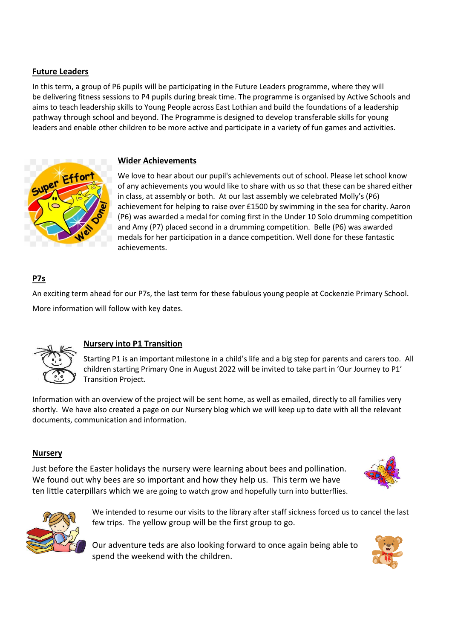# **Future Leaders**

In this term, a group of P6 pupils will be participating in the Future Leaders programme, where they will be delivering fitness sessions to P4 pupils during break time. The programme is organised by Active Schools and aims to teach leadership skills to Young People across East Lothian and build the foundations of a leadership pathway through school and beyond. The Programme is designed to develop transferable skills for young leaders and enable other children to be more active and participate in a variety of fun games and activities.





We love to hear about our pupil's achievements out of school. Please let school know of any achievements you would like to share with us so that these can be shared either in class, at assembly or both. At our last assembly we celebrated Molly's (P6) achievement for helping to raise over £1500 by swimming in the sea for charity. Aaron (P6) was awarded a medal for coming first in the Under 10 Solo drumming competition and Amy (P7) placed second in a drumming competition. Belle (P6) was awarded medals for her participation in a dance competition. Well done for these fantastic achievements.

# **P7s**

An exciting term ahead for our P7s, the last term for these fabulous young people at Cockenzie Primary School. More information will follow with key dates.



# **Nursery into P1 Transition**

Starting P1 is an important milestone in a child's life and a big step for parents and carers too. All children starting Primary One in August 2022 will be invited to take part in 'Our Journey to P1' Transition Project.

Information with an overview of the project will be sent home, as well as emailed, directly to all families very shortly. We have also created a page on our Nursery blog which we will keep up to date with all the relevant documents, communication and information.

# **Nursery**

Just before the Easter holidays the nursery were learning about bees and pollination. We found out why bees are so important and how they help us. This term we have ten little caterpillars which we are going to watch grow and hopefully turn into butterflies.





We intended to resume our visits to the library after staff sickness forced us to cancel the last few trips. The yellow group will be the first group to go.

Our adventure teds are also looking forward to once again being able to spend the weekend with the children.